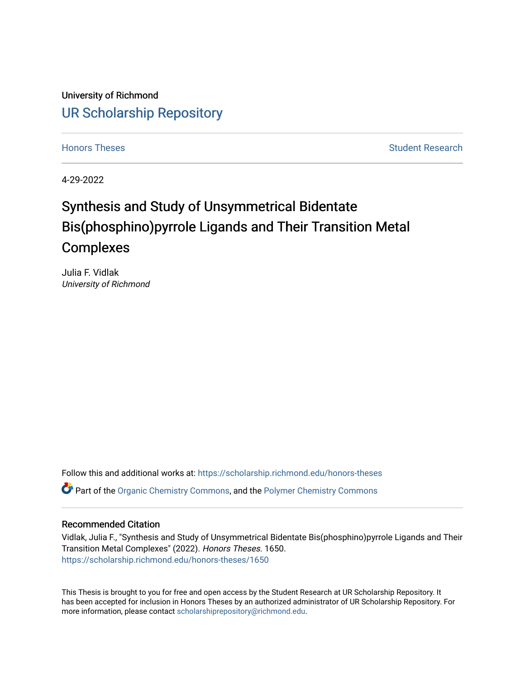University of Richmond [UR Scholarship Repository](https://scholarship.richmond.edu/) 

[Honors Theses](https://scholarship.richmond.edu/honors-theses) **Student Research** Student Research

4-29-2022

# Synthesis and Study of Unsymmetrical Bidentate Bis(phosphino)pyrrole Ligands and Their Transition Metal **Complexes**

Julia F. Vidlak University of Richmond

Follow this and additional works at: [https://scholarship.richmond.edu/honors-theses](https://scholarship.richmond.edu/honors-theses?utm_source=scholarship.richmond.edu%2Fhonors-theses%2F1650&utm_medium=PDF&utm_campaign=PDFCoverPages) Part of the [Organic Chemistry Commons,](https://network.bepress.com/hgg/discipline/138?utm_source=scholarship.richmond.edu%2Fhonors-theses%2F1650&utm_medium=PDF&utm_campaign=PDFCoverPages) and the [Polymer Chemistry Commons](https://network.bepress.com/hgg/discipline/140?utm_source=scholarship.richmond.edu%2Fhonors-theses%2F1650&utm_medium=PDF&utm_campaign=PDFCoverPages) 

#### Recommended Citation

Vidlak, Julia F., "Synthesis and Study of Unsymmetrical Bidentate Bis(phosphino)pyrrole Ligands and Their Transition Metal Complexes" (2022). Honors Theses. 1650. [https://scholarship.richmond.edu/honors-theses/1650](https://scholarship.richmond.edu/honors-theses/1650?utm_source=scholarship.richmond.edu%2Fhonors-theses%2F1650&utm_medium=PDF&utm_campaign=PDFCoverPages) 

This Thesis is brought to you for free and open access by the Student Research at UR Scholarship Repository. It has been accepted for inclusion in Honors Theses by an authorized administrator of UR Scholarship Repository. For more information, please contact [scholarshiprepository@richmond.edu](mailto:scholarshiprepository@richmond.edu).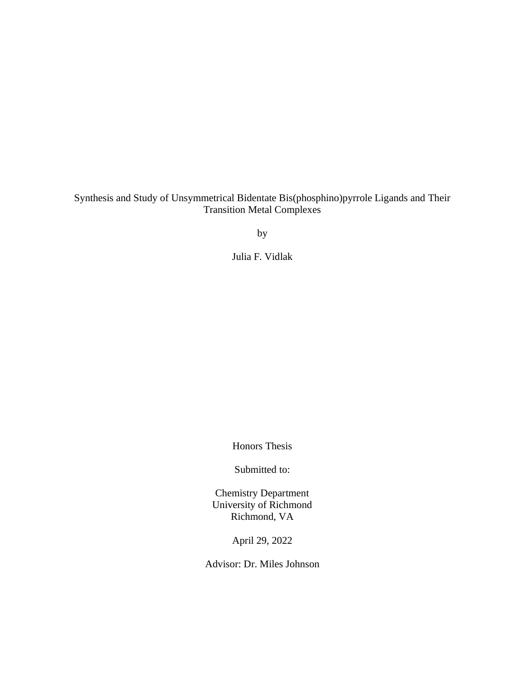# Synthesis and Study of Unsymmetrical Bidentate Bis(phosphino)pyrrole Ligands and Their Transition Metal Complexes

by

Julia F. Vidlak

Honors Thesis

Submitted to:

Chemistry Department University of Richmond Richmond, VA

April 29, 2022

Advisor: Dr. Miles Johnson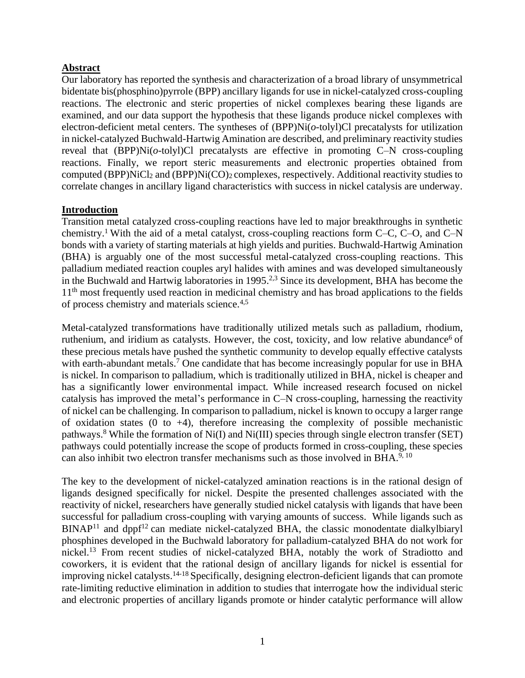# **Abstract**

Our laboratory has reported the synthesis and characterization of a broad library of unsymmetrical bidentate bis(phosphino)pyrrole (BPP) ancillary ligands for use in nickel-catalyzed cross-coupling reactions. The electronic and steric properties of nickel complexes bearing these ligands are examined, and our data support the hypothesis that these ligands produce nickel complexes with electron-deficient metal centers. The syntheses of (BPP)Ni(*o*-tolyl)Cl precatalysts for utilization in nickel-catalyzed Buchwald-Hartwig Amination are described, and preliminary reactivity studies reveal that (BPP)Ni(*o*-tolyl)Cl precatalysts are effective in promoting C–N cross-coupling reactions. Finally, we report steric measurements and electronic properties obtained from computed (BPP)NiCl<sup>2</sup> and (BPP)Ni(CO)2 complexes, respectively. Additional reactivity studies to correlate changes in ancillary ligand characteristics with success in nickel catalysis are underway.

# **Introduction**

Transition metal catalyzed cross-coupling reactions have led to major breakthroughs in synthetic chemistry.<sup>1</sup> With the aid of a metal catalyst, cross-coupling reactions form C–C, C–O, and C–N bonds with a variety of starting materials at high yields and purities. Buchwald-Hartwig Amination (BHA) is arguably one of the most successful metal-catalyzed cross-coupling reactions. This palladium mediated reaction couples aryl halides with amines and was developed simultaneously in the Buchwald and Hartwig laboratories in 1995.<sup>2,3</sup> Since its development, BHA has become the 11<sup>th</sup> most frequently used reaction in medicinal chemistry and has broad applications to the fields of process chemistry and materials science.4,5

Metal-catalyzed transformations have traditionally utilized metals such as palladium, rhodium, ruthenium, and iridium as catalysts. However, the cost, toxicity, and low relative abundance<sup>6</sup> of these precious metals have pushed the synthetic community to develop equally effective catalysts with earth-abundant metals.<sup>7</sup> One candidate that has become increasingly popular for use in BHA is nickel. In comparison to palladium, which is traditionally utilized in BHA, nickel is cheaper and has a significantly lower environmental impact. While increased research focused on nickel catalysis has improved the metal's performance in C–N cross-coupling, harnessing the reactivity of nickel can be challenging. In comparison to palladium, nickel is known to occupy a larger range of oxidation states  $(0 \text{ to } +4)$ , therefore increasing the complexity of possible mechanistic pathways.<sup>8</sup> While the formation of Ni(I) and Ni(III) species through single electron transfer (SET) pathways could potentially increase the scope of products formed in cross-coupling, these species can also inhibit two electron transfer mechanisms such as those involved in BHA.<sup>9, 10</sup>

The key to the development of nickel-catalyzed amination reactions is in the rational design of ligands designed specifically for nickel. Despite the presented challenges associated with the reactivity of nickel, researchers have generally studied nickel catalysis with ligands that have been successful for palladium cross-coupling with varying amounts of success. While ligands such as  $BINAP<sup>11</sup>$  and dppf<sup>12</sup> can mediate nickel-catalyzed BHA, the classic monodentate dialkylbiaryl phosphines developed in the Buchwald laboratory for palladium-catalyzed BHA do not work for nickel. <sup>13</sup> From recent studies of nickel-catalyzed BHA, notably the work of Stradiotto and coworkers, it is evident that the rational design of ancillary ligands for nickel is essential for improving nickel catalysts.<sup>14-18</sup> Specifically, designing electron-deficient ligands that can promote rate-limiting reductive elimination in addition to studies that interrogate how the individual steric and electronic properties of ancillary ligands promote or hinder catalytic performance will allow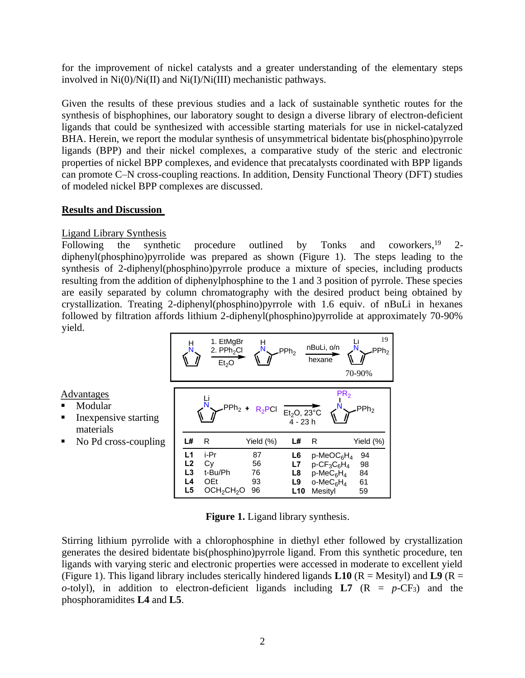for the improvement of nickel catalysts and a greater understanding of the elementary steps involved in Ni(0)/Ni(II) and Ni(I)/Ni(III) mechanistic pathways.

Given the results of these previous studies and a lack of sustainable synthetic routes for the synthesis of bisphophines, our laboratory sought to design a diverse library of electron-deficient ligands that could be synthesized with accessible starting materials for use in nickel-catalyzed BHA. Herein, we report the modular synthesis of unsymmetrical bidentate bis(phosphino)pyrrole ligands (BPP) and their nickel complexes, a comparative study of the steric and electronic properties of nickel BPP complexes, and evidence that precatalysts coordinated with BPP ligands can promote C–N cross-coupling reactions. In addition, Density Functional Theory (DFT) studies of modeled nickel BPP complexes are discussed.

# **Results and Discussion**

# Ligand Library Synthesis

Advantages **Modular** 

materials

Following the synthetic procedure outlined by Tonks and coworkers,  $19$  2diphenyl(phosphino)pyrrolide was prepared as shown (Figure 1). The steps leading to the synthesis of 2-diphenyl(phosphino)pyrrole produce a mixture of species, including products resulting from the addition of diphenylphosphine to the 1 and 3 position of pyrrole. These species are easily separated by column chromatography with the desired product being obtained by crystallization. Treating 2-diphenyl(phosphino)pyrrole with 1.6 equiv. of nBuLi in hexanes followed by filtration affords lithium 2-diphenyl(phosphino)pyrrolide at approximately 70-90% yield.



**Figure 1.** Ligand library synthesis.

Stirring lithium pyrrolide with a chlorophosphine in diethyl ether followed by crystallization generates the desired bidentate bis(phosphino)pyrrole ligand. From this synthetic procedure, ten ligands with varying steric and electronic properties were accessed in moderate to excellent yield (Figure 1). This ligand library includes sterically hindered ligands  $L10$  ( $R =$  Mesityl) and  $L9$  ( $R =$ *o*-tolyl), in addition to electron-deficient ligands including  $LT (R = p-CF_3)$  and the phosphoramidites **L4** and **L5**.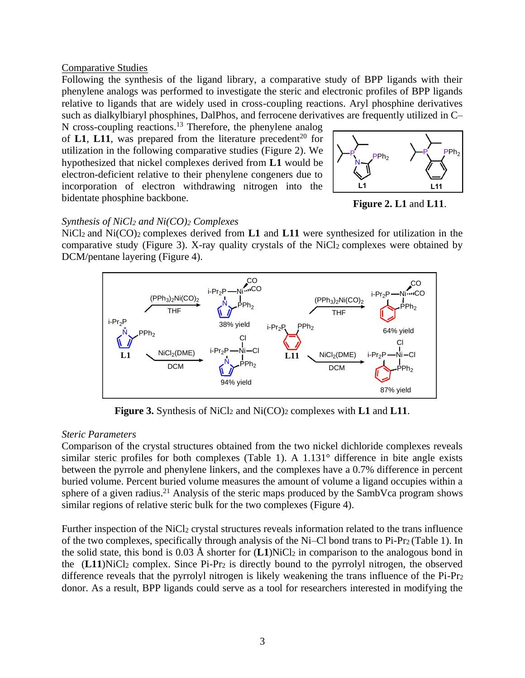#### Comparative Studies

Following the synthesis of the ligand library, a comparative study of BPP ligands with their phenylene analogs was performed to investigate the steric and electronic profiles of BPP ligands relative to ligands that are widely used in cross-coupling reactions. Aryl phosphine derivatives such as dialkylbiaryl phosphines, DalPhos, and ferrocene derivatives are frequently utilized in C–

N cross-coupling reactions.<sup>13</sup> Therefore, the phenylene analog of **L1**, **L11**, was prepared from the literature precedent<sup>20</sup> for utilization in the following comparative studies (Figure 2). We hypothesized that nickel complexes derived from **L1** would be electron-deficient relative to their phenylene congeners due to incorporation of electron withdrawing nitrogen into the bidentate phosphine backbone.



**Figure 2. L1** and **L11**.

# *Synthesis of NiCl<sup>2</sup> and Ni(CO)<sup>2</sup> Complexes*

NiCl<sub>2</sub> and Ni(CO)<sub>2</sub> complexes derived from **L1** and **L11** were synthesized for utilization in the comparative study (Figure 3). X-ray quality crystals of the NiCl<sub>2</sub> complexes were obtained by DCM/pentane layering (Figure 4).



**Figure 3.** Synthesis of NiCl<sup>2</sup> and Ni(CO)<sup>2</sup> complexes with **L1** and **L11**.

## *Steric Parameters*

Comparison of the crystal structures obtained from the two nickel dichloride complexes reveals similar steric profiles for both complexes (Table 1). A 1.131° difference in bite angle exists between the pyrrole and phenylene linkers, and the complexes have a 0.7% difference in percent buried volume. Percent buried volume measures the amount of volume a ligand occupies within a sphere of a given radius.<sup>21</sup> Analysis of the steric maps produced by the SambVca program shows similar regions of relative steric bulk for the two complexes (Figure 4).

Further inspection of the NiCl<sub>2</sub> crystal structures reveals information related to the trans influence of the two complexes, specifically through analysis of the Ni–Cl bond trans to Pi-Pr2 (Table 1). In the solid state, this bond is  $0.03 \text{ Å}$  shorter for  $(L1)$ NiCl<sub>2</sub> in comparison to the analogous bond in the  $(L11)$ NiCl<sub>2</sub> complex. Since Pi-Pr<sub>2</sub> is directly bound to the pyrrolyl nitrogen, the observed difference reveals that the pyrrolyl nitrogen is likely weakening the trans influence of the Pi-Pr<sup>2</sup> donor. As a result, BPP ligands could serve as a tool for researchers interested in modifying the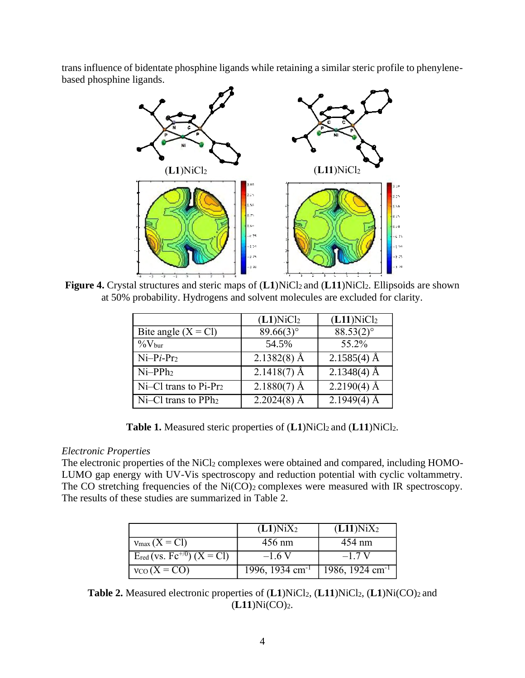trans influence of bidentate phosphine ligands while retaining a similar steric profile to phenylenebased phosphine ligands.



**Figure 4.** Crystal structures and steric maps of (L1)NiCl<sub>2</sub> and (L11)NiCl<sub>2</sub>. Ellipsoids are shown at 50% probability. Hydrogens and solvent molecules are excluded for clarity.

|                                           | $(L1)$ NiCl <sub>2</sub> | $(L11)$ NiCl <sub>2</sub> |
|-------------------------------------------|--------------------------|---------------------------|
| Bite angle $(X = C)$                      | $89.66(3)$ °             | 88.53(2)°                 |
| $\%$ V <sub>bur</sub>                     | 54.5%                    | 55.2%                     |
| $Ni-Pi-Pr2$                               | $2.1382(8)$ Å            | $2.1585(4)$ Å             |
| $Ni-PPh2$                                 | $2.1418(7)$ Å            | $2.1348(4)$ Å             |
| $\vert$ Ni–Cl trans to Pi-Pr <sub>2</sub> | $2.1880(7)$ Å            | $2.2190(4)$ Å             |
| $\vert$ Ni–Cl trans to PP $h_2$           | $2.2024(8)$ Å            | $2.1949(4)$ Å             |

**Table 1.** Measured steric properties of (L1)NiCl<sub>2</sub> and (L11)NiCl<sub>2</sub>.

# *Electronic Properties*

The electronic properties of the NiCl<sub>2</sub> complexes were obtained and compared, including HOMO-LUMO gap energy with UV-Vis spectroscopy and reduction potential with cyclic voltammetry. The CO stretching frequencies of the Ni(CO)<sub>2</sub> complexes were measured with IR spectroscopy. The results of these studies are summarized in Table 2.

|                                                         | $(L1)$ Ni $X_2$             | $(L11)$ Ni $X_2$            |
|---------------------------------------------------------|-----------------------------|-----------------------------|
| $v_{\text{max}}(X = C)$                                 | $456 \text{ nm}$            | 454 nm                      |
| Ered (vs. $\overline{Fc^{+/0}}$ ) $(X = \overline{CI})$ | $-1.6V$                     | $-1.7 V$                    |
| $v_{CO}$ (X = CO)                                       | 1996, 1934 cm <sup>-1</sup> | 1986, 1924 cm <sup>-1</sup> |

**Table 2.** Measured electronic properties of (**L1**)NiCl2, (**L11**)NiCl2, (**L1**)Ni(CO)<sup>2</sup> and (**L11**)Ni(CO)2.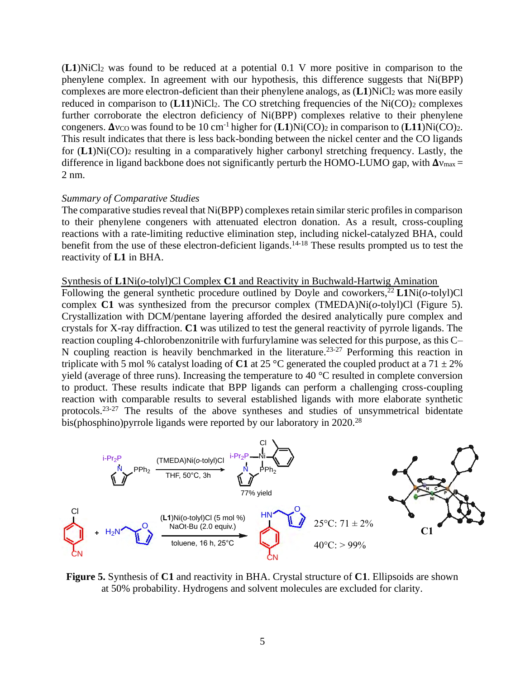(**L1**)NiCl<sup>2</sup> was found to be reduced at a potential 0.1 V more positive in comparison to the phenylene complex. In agreement with our hypothesis, this difference suggests that Ni(BPP) complexes are more electron-deficient than their phenylene analogs, as  $(L1)$ NiCl<sub>2</sub> was more easily reduced in comparison to  $(L11)$ NiCl<sub>2</sub>. The CO stretching frequencies of the Ni $(CO)$ <sub>2</sub> complexes further corroborate the electron deficiency of Ni(BPP) complexes relative to their phenylene congeners.  $\Delta v_{\text{CO}}$  was found to be 10 cm<sup>-1</sup> higher for  $(L1)$ Ni $(CO)$ <sub>2</sub> in comparison to  $(L11)$ Ni $(CO)$ <sub>2</sub>. This result indicates that there is less back-bonding between the nickel center and the CO ligands for  $(L1)Ni(CO)$ <sub>2</sub> resulting in a comparatively higher carbonyl stretching frequency. Lastly, the difference in ligand backbone does not significantly perturb the HOMO-LUMO gap, with  $\Delta v_{\text{max}} =$ 2 nm.

#### *Summary of Comparative Studies*

The comparative studies reveal that Ni(BPP) complexes retain similar steric profiles in comparison to their phenylene congeners with attenuated electron donation. As a result, cross-coupling reactions with a rate-limiting reductive elimination step, including nickel-catalyzed BHA, could benefit from the use of these electron-deficient ligands.<sup>14-18</sup> These results prompted us to test the reactivity of **L1** in BHA.

#### Synthesis of **L1**Ni(*o*-tolyl)Cl Complex **C1** and Reactivity in Buchwald-Hartwig Amination

Following the general synthetic procedure outlined by Doyle and coworkers, <sup>22</sup> **L1**Ni(*o*-tolyl)Cl complex **C1** was synthesized from the precursor complex (TMEDA)Ni(*o*-tolyl)Cl (Figure 5). Crystallization with DCM/pentane layering afforded the desired analytically pure complex and crystals for X-ray diffraction. **C1** was utilized to test the general reactivity of pyrrole ligands. The reaction coupling 4-chlorobenzonitrile with furfurylamine was selected for this purpose, as this C– N coupling reaction is heavily benchmarked in the literature.<sup>23-27</sup> Performing this reaction in triplicate with 5 mol % catalyst loading of C1 at 25 °C generated the coupled product at a 71  $\pm$  2% yield (average of three runs). Increasing the temperature to 40 °C resulted in complete conversion to product. These results indicate that BPP ligands can perform a challenging cross-coupling reaction with comparable results to several established ligands with more elaborate synthetic protocols.23-27 The results of the above syntheses and studies of unsymmetrical bidentate bis(phosphino)pyrrole ligands were reported by our laboratory in 2020.<sup>28</sup>



**Figure 5.** Synthesis of **C1** and reactivity in BHA. Crystal structure of **C1**. Ellipsoids are shown at 50% probability. Hydrogens and solvent molecules are excluded for clarity.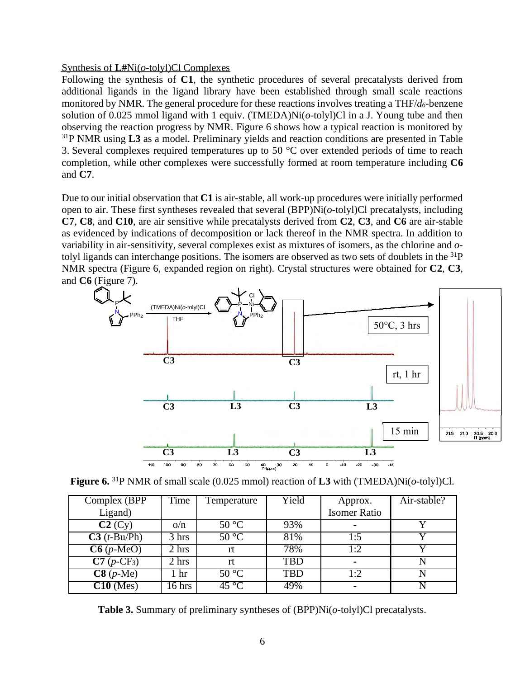#### Synthesis of **L#**Ni(*o*-tolyl)Cl Complexes

Following the synthesis of **C1**, the synthetic procedures of several precatalysts derived from additional ligands in the ligand library have been established through small scale reactions monitored by NMR. The general procedure for these reactions involves treating a THF/*d6*-benzene solution of 0.025 mmol ligand with 1 equiv. (TMEDA)Ni(*o*-tolyl)Cl in a J. Young tube and then observing the reaction progress by NMR. Figure 6 shows how a typical reaction is monitored by <sup>31</sup>P NMR using **L3** as a model. Preliminary yields and reaction conditions are presented in Table 3. Several complexes required temperatures up to 50 °C over extended periods of time to reach completion, while other complexes were successfully formed at room temperature including **C6** and **C7**.

Due to our initial observation that **C1** is air-stable, all work-up procedures were initially performed open to air. These first syntheses revealed that several (BPP)Ni(*o*-tolyl)Cl precatalysts, including **C7**, **C8**, and **C10**, are air sensitive while precatalysts derived from **C2**, **C3**, and **C6** are air-stable as evidenced by indications of decomposition or lack thereof in the NMR spectra. In addition to variability in air-sensitivity, several complexes exist as mixtures of isomers, as the chlorine and *o*tolyl ligands can interchange positions. The isomers are observed as two sets of doublets in the  $^{31}P$ NMR spectra (Figure 6, expanded region on right). Crystal structures were obtained for **C2**, **C3**, and **C6** (Figure 7).



| Figure 6. <sup>31</sup> P NMR of small scale (0.025 mmol) reaction of L3 with (TMEDA)Ni( $o$ -tolyl)Cl. |  |  |
|---------------------------------------------------------------------------------------------------------|--|--|
|---------------------------------------------------------------------------------------------------------|--|--|

| Complex (BPP)                        | Time   | Temperature                | Yield      | Approx.             | Air-stable? |
|--------------------------------------|--------|----------------------------|------------|---------------------|-------------|
| Ligand)                              |        |                            |            | <b>Isomer Ratio</b> |             |
| C2(Cy)                               | O/n    | $50^{\circ}$ C             | 93%        | $\blacksquare$      |             |
| $C3(t-Bu/Ph)$                        | 3 hrs  | $50^{\circ}$ C             | 81%        | 1:5                 | v           |
| $\overline{\text{C6}(p\text{-MeO})}$ | 2 hrs  | rt                         | 78%        | 1:2                 |             |
| $\overline{C7(p-CF_3)}$              | 2 hrs  | rt                         | <b>TBD</b> |                     |             |
| $C8(p-Me)$                           | hr     | $50^{\circ}$ C             | <b>TBD</b> | l:2                 |             |
| $\overline{C10}$ (Mes)               | 16 hrs | $\overline{45\,^{\circ}C}$ | 49%        |                     |             |

**Table 3.** Summary of preliminary syntheses of (BPP)Ni(*o*-tolyl)Cl precatalysts.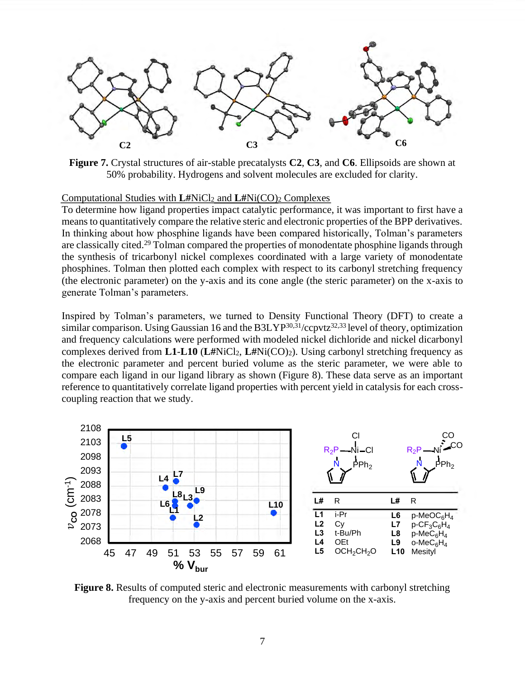

**Figure 7.** Crystal structures of air-stable precatalysts **C2**, **C3**, and **C6**. Ellipsoids are shown at 50% probability. Hydrogens and solvent molecules are excluded for clarity.

#### Computational Studies with **L#**NiCl<sup>2</sup> and **L#**Ni(CO)<sup>2</sup> Complexes

To determine how ligand properties impact catalytic performance, it was important to first have a means to quantitatively compare the relative steric and electronic properties of the BPP derivatives. In thinking about how phosphine ligands have been compared historically, Tolman's parameters are classically cited.<sup>29</sup> Tolman compared the properties of monodentate phosphine ligands through the synthesis of tricarbonyl nickel complexes coordinated with a large variety of monodentate phosphines. Tolman then plotted each complex with respect to its carbonyl stretching frequency (the electronic parameter) on the y-axis and its cone angle (the steric parameter) on the x-axis to generate Tolman's parameters.

Inspired by Tolman's parameters, we turned to Density Functional Theory (DFT) to create a similar comparison. Using Gaussian 16 and the B3LYP<sup>30,31</sup>/ccpvtz<sup>32,33</sup> level of theory, optimization and frequency calculations were performed with modeled nickel dichloride and nickel dicarbonyl complexes derived from **L1**-**L10** (**L#**NiCl2, **L#**Ni(CO)2). Using carbonyl stretching frequency as the electronic parameter and percent buried volume as the steric parameter, we were able to compare each ligand in our ligand library as shown (Figure 8). These data serve as an important reference to quantitatively correlate ligand properties with percent yield in catalysis for each crosscoupling reaction that we study.



**Figure 8.** Results of computed steric and electronic measurements with carbonyl stretching frequency on the y-axis and percent buried volume on the x-axis.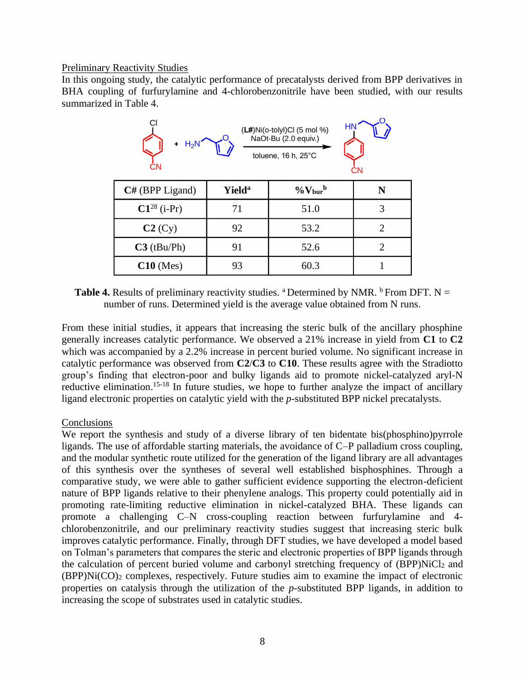#### Preliminary Reactivity Studies

In this ongoing study, the catalytic performance of precatalysts derived from BPP derivatives in BHA coupling of furfurylamine and 4-chlorobenzonitrile have been studied, with our results summarized in Table 4.

| HN<br>$(L#)Ni(o-tolyI)Cl$ (5 mol %)<br>NaOt-Bu (2.0 equiv.)<br>$+$ H <sub>2</sub> N<br>toluene, 16 h, 25°C<br><b>CN</b><br>СN |                           |                                    |                |  |
|-------------------------------------------------------------------------------------------------------------------------------|---------------------------|------------------------------------|----------------|--|
| $C#$ (BPP Ligand)                                                                                                             | <b>Yield</b> <sup>a</sup> | $\%$ V <sub>bur</sub> <sup>b</sup> | N              |  |
| $C1^{28}$ (i-Pr)                                                                                                              | 71                        | 51.0                               | 3              |  |
| C2(Cy)                                                                                                                        | 92                        | 53.2                               | $\overline{2}$ |  |
| $C3$ (tBu/Ph)                                                                                                                 | 91                        | 52.6                               | 2              |  |
| $C10$ (Mes)                                                                                                                   | 93                        | 60.3                               |                |  |

**Table 4.** Results of preliminary reactivity studies. <sup>a</sup> Determined by NMR. <sup>b</sup> From DFT. N = number of runs. Determined yield is the average value obtained from N runs.

From these initial studies, it appears that increasing the steric bulk of the ancillary phosphine generally increases catalytic performance. We observed a 21% increase in yield from **C1** to **C2** which was accompanied by a 2.2% increase in percent buried volume. No significant increase in catalytic performance was observed from **C2**/**C3** to **C10**. These results agree with the Stradiotto group's finding that electron-poor and bulky ligands aid to promote nickel-catalyzed aryl-N reductive elimination.<sup>15-18</sup> In future studies, we hope to further analyze the impact of ancillary ligand electronic properties on catalytic yield with the *p*-substituted BPP nickel precatalysts.

## **Conclusions**

We report the synthesis and study of a diverse library of ten bidentate bis(phosphino)pyrrole ligands. The use of affordable starting materials, the avoidance of C–P palladium cross coupling, and the modular synthetic route utilized for the generation of the ligand library are all advantages of this synthesis over the syntheses of several well established bisphosphines. Through a comparative study, we were able to gather sufficient evidence supporting the electron-deficient nature of BPP ligands relative to their phenylene analogs. This property could potentially aid in promoting rate-limiting reductive elimination in nickel-catalyzed BHA. These ligands can promote a challenging C–N cross-coupling reaction between furfurylamine and 4 chlorobenzonitrile, and our preliminary reactivity studies suggest that increasing steric bulk improves catalytic performance. Finally, through DFT studies, we have developed a model based on Tolman's parameters that compares the steric and electronic properties of BPP ligands through the calculation of percent buried volume and carbonyl stretching frequency of (BPP)NiCl<sup>2</sup> and (BPP)Ni(CO)<sup>2</sup> complexes, respectively. Future studies aim to examine the impact of electronic properties on catalysis through the utilization of the *p*-substituted BPP ligands, in addition to increasing the scope of substrates used in catalytic studies.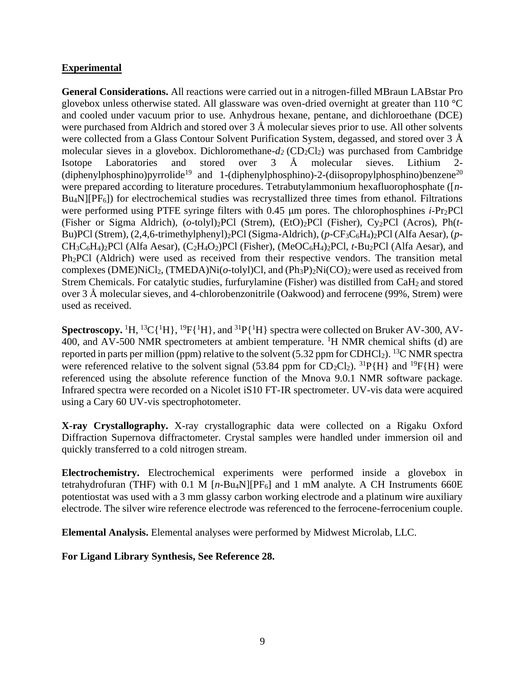# **Experimental**

**General Considerations.** All reactions were carried out in a nitrogen-filled MBraun LABstar Pro glovebox unless otherwise stated. All glassware was oven-dried overnight at greater than 110 °C and cooled under vacuum prior to use. Anhydrous hexane, pentane, and dichloroethane (DCE) were purchased from Aldrich and stored over 3 Å molecular sieves prior to use. All other solvents were collected from a Glass Contour Solvent Purification System, degassed, and stored over 3 Å molecular sieves in a glovebox. Dichloromethane- $d_2$  (CD<sub>2</sub>Cl<sub>2</sub>) was purchased from Cambridge Isotope Laboratories and stored over 3 Å molecular sieves. Lithium 2- (diphenylphosphino)pyrrolide<sup>19</sup> and 1-(diphenylphosphino)-2-(diisopropylphosphino)benzene<sup>20</sup> were prepared according to literature procedures. Tetrabutylammonium hexafluorophosphate ([*n*- $Bu<sub>4</sub>N$ [ $PF<sub>6</sub>$ ]) for electrochemical studies was recrystallized three times from ethanol. Filtrations were performed using PTFE syringe filters with 0.45 μm pores. The chlorophosphines *i*-Pr2PCl (Fisher or Sigma Aldrich), (*o*-tolyl)2PCl (Strem), (EtO)2PCl (Fisher), Cy2PCl (Acros), Ph(*t*-Bu)PCl (Strem), (2,4,6-trimethylphenyl)2PCl (Sigma-Aldrich), (*p*-CF3C6H4)2PCl (Alfa Aesar), (*p*-CH3C6H4)2PCl (Alfa Aesar), (C2H4O2)PCl (Fisher), (MeOC6H4)2PCl, *t*-Bu2PCl (Alfa Aesar), and Ph<sub>2</sub>PCl (Aldrich) were used as received from their respective vendors. The transition metal complexes (DME)NiCl2, (TMEDA)Ni(*o*-tolyl)Cl, and (Ph3P)2Ni(CO)2 were used as received from Strem Chemicals. For catalytic studies, furfurylamine (Fisher) was distilled from CaH<sub>2</sub> and stored over 3 Å molecular sieves, and 4-chlorobenzonitrile (Oakwood) and ferrocene (99%, Strem) were used as received.

Spectroscopy. <sup>1</sup>H, <sup>13</sup>C{<sup>1</sup>H}, <sup>19</sup>F{<sup>1</sup>H}, and <sup>31</sup>P{<sup>1</sup>H} spectra were collected on Bruker AV-300, AV-400, and AV-500 NMR spectrometers at ambient temperature. <sup>1</sup>H NMR chemical shifts (d) are reported in parts per million (ppm) relative to the solvent (5.32 ppm for CDHCl<sub>2</sub>). <sup>13</sup>C NMR spectra were referenced relative to the solvent signal (53.84 ppm for  $CD_2Cl_2$ ). <sup>31</sup>P{H} and <sup>19</sup>F{H} were referenced using the absolute reference function of the Mnova 9.0.1 NMR software package. Infrared spectra were recorded on a Nicolet iS10 FT-IR spectrometer. UV-vis data were acquired using a Cary 60 UV-vis spectrophotometer.

**X-ray Crystallography.** X-ray crystallographic data were collected on a Rigaku Oxford Diffraction Supernova diffractometer. Crystal samples were handled under immersion oil and quickly transferred to a cold nitrogen stream.

**Electrochemistry.** Electrochemical experiments were performed inside a glovebox in tetrahydrofuran (THF) with 0.1 M  $[n-Bu_4N][PF_6]$  and 1 mM analyte. A CH Instruments 660E potentiostat was used with a 3 mm glassy carbon working electrode and a platinum wire auxiliary electrode. The silver wire reference electrode was referenced to the ferrocene-ferrocenium couple.

**Elemental Analysis.** Elemental analyses were performed by Midwest Microlab, LLC.

**For Ligand Library Synthesis, See Reference 28.**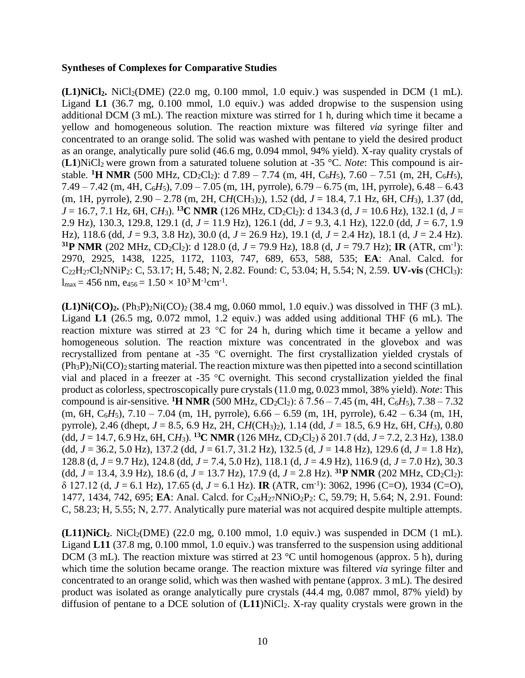#### **Syntheses of Complexes for Comparative Studies**

 $(L1)$ NiCl<sub>2</sub>**.** NiCl<sub>2</sub>(DME) (22.0 mg, 0.100 mmol, 1.0 equiv.) was suspended in DCM (1 mL). Ligand **L1** (36.7 mg, 0.100 mmol, 1.0 equiv.) was added dropwise to the suspension using additional DCM (3 mL). The reaction mixture was stirred for 1 h, during which time it became a yellow and homogeneous solution. The reaction mixture was filtered *via* syringe filter and concentrated to an orange solid. The solid was washed with pentane to yield the desired product as an orange, analytically pure solid (46.6 mg, 0.094 mmol, 94% yield). X-ray quality crystals of (L1)NiCl<sub>2</sub> were grown from a saturated toluene solution at -35 °C. *Note*: This compound is airstable. **<sup>1</sup>H NMR** (500 MHz, CD<sub>2</sub>Cl<sub>2</sub>): d 7.89 – 7.74 (m, 4H, C<sub>6</sub>*H*<sub>5</sub>), 7.60 – 7.51 (m, 2H, C<sub>6</sub>*H*<sub>5</sub>), 7.49 – 7.42 (m, 4H, C6*H*5), 7.09 – 7.05 (m, 1H, pyrrole), 6.79 – 6.75 (m, 1H, pyrrole), 6.48 – 6.43 (m, 1H, pyrrole), 2.90 – 2.78 (m, 2H, C*H*(CH3)2), 1.52 (dd, *J* = 18.4, 7.1 Hz, 6H, C*H*3), 1.37 (dd, *J* = 16.7, 7.1 Hz, 6H, C*H*3). **<sup>13</sup>C NMR** (126 MHz, CD2Cl2): d 134.3 (d, *J* = 10.6 Hz), 132.1 (d, *J* = 2.9 Hz), 130.3, 129.8, 129.1 (d, *J* = 11.9 Hz), 126.1 (dd, *J* = 9.3, 4.1 Hz), 122.0 (dd, *J* = 6.7, 1.9 Hz), 118.6 (dd, *J* = 9.3, 3.8 Hz), 30.0 (d, *J* = 26.9 Hz), 19.1 (d, *J* = 2.4 Hz), 18.1 (d, *J* = 2.4 Hz). **31P NMR** (202 MHz, CD<sub>2</sub>Cl<sub>2</sub>): d 128.0 (d,  $J = 79.9$  Hz), 18.8 (d,  $J = 79.7$  Hz); **IR** (ATR, cm<sup>-1</sup>): 2970, 2925, 1438, 1225, 1172, 1103, 747, 689, 653, 588, 535; **EA**: Anal. Calcd. for C22H27Cl2NNiP2: C, 53.17; H, 5.48; N, 2.82. Found: C, 53.04; H, 5.54; N, 2.59. **UV-vis** (CHCl3):  $l_{\text{max}} = 456 \text{ nm}, \text{ e}_{456} = 1.50 \times 10^3 \text{ M}^{-1} \text{cm}^{-1}.$ 

 $(L1)$ Ni $(CO)$ <sub>2</sub>**.**  $(Ph_3P)$ <sub>2</sub>Ni $(CO)$ <sub>2</sub> $(38.4 \text{ mg}, 0.060 \text{ mmol}, 1.0 \text{ equiv.})$  was dissolved in THF (3 mL). Ligand **L1** (26.5 mg, 0.072 mmol, 1.2 equiv.) was added using additional THF (6 mL). The reaction mixture was stirred at 23 °C for 24 h, during which time it became a yellow and homogeneous solution. The reaction mixture was concentrated in the glovebox and was recrystallized from pentane at -35 °C overnight. The first crystallization yielded crystals of  $(Ph_3P)_2Ni(CO)_2$  starting material. The reaction mixture was then pipetted into a second scintillation vial and placed in a freezer at -35 °C overnight. This second crystallization yielded the final product as colorless, spectroscopically pure crystals (11.0 mg, 0.023 mmol, 38% yield). *Note*: This compound is air-sensitive. **<sup>1</sup>H NMR** (500 MHz, CD<sub>2</sub>Cl<sub>2</sub>):  $\delta$  7.56 – 7.45 (m, 4H, C<sub>6</sub>*H*<sub>5</sub>), 7.38 – 7.32 (m, 6H, C6*H*5), 7.10 – 7.04 (m, 1H, pyrrole), 6.66 – 6.59 (m, 1H, pyrrole), 6.42 – 6.34 (m, 1H, pyrrole), 2.46 (dhept, *J* = 8.5, 6.9 Hz, 2H, C*H*(CH3)2), 1.14 (dd, *J* = 18.5, 6.9 Hz, 6H, C*H*3), 0.80  $(dd, J = 14.7, 6.9 \text{ Hz}, 6H, CH_3)$ . <sup>13</sup>**C NMR** (126 MHz, CD<sub>2</sub>Cl<sub>2</sub>)  $\delta$  201.7 (dd,  $J = 7.2, 2.3 \text{ Hz}$ ), 138.0  $(dd, J = 36.2, 5.0 Hz$ , 137.2 (dd,  $J = 61.7, 31.2 Hz$ ), 132.5 (d,  $J = 14.8 Hz$ ), 129.6 (d,  $J = 1.8 Hz$ ), 128.8 (d, *J* = 9.7 Hz), 124.8 (dd, *J* = 7.4, 5.0 Hz), 118.1 (d, *J* = 4.9 Hz), 116.9 (d, *J* = 7.0 Hz), 30.3 (dd,  $J = 13.4$ , 3.9 Hz), 18.6 (d,  $J = 13.7$  Hz), 17.9 (d,  $J = 2.8$  Hz). <sup>31</sup>**P** NMR (202 MHz, CD<sub>2</sub>Cl<sub>2</sub>): δ 127.12 (d, *J* = 6.1 Hz), 17.65 (d, *J* = 6.1 Hz). **IR** (ATR, cm-1 ): 3062, 1996 (C=O), 1934 (C=O), 1477, 1434, 742, 695; **EA**: Anal. Calcd. for C24H27NNiO2P2: C, 59.79; H, 5.64; N, 2.91. Found: C, 58.23; H, 5.55; N, 2.77. Analytically pure material was not acquired despite multiple attempts.

 $(L11)$ NiCl<sub>2</sub>. NiCl<sub>2</sub>(DME) (22.0 mg, 0.100 mmol, 1.0 equiv.) was suspended in DCM (1 mL). Ligand **L11** (37.8 mg, 0.100 mmol, 1.0 equiv.) was transferred to the suspension using additional DCM (3 mL). The reaction mixture was stirred at 23  $^{\circ}$ C until homogenous (approx. 5 h), during which time the solution became orange. The reaction mixture was filtered *via* syringe filter and concentrated to an orange solid, which was then washed with pentane (approx. 3 mL). The desired product was isolated as orange analytically pure crystals (44.4 mg, 0.087 mmol, 87% yield) by diffusion of pentane to a DCE solution of  $(L11)$ NiCl<sub>2</sub>. X-ray quality crystals were grown in the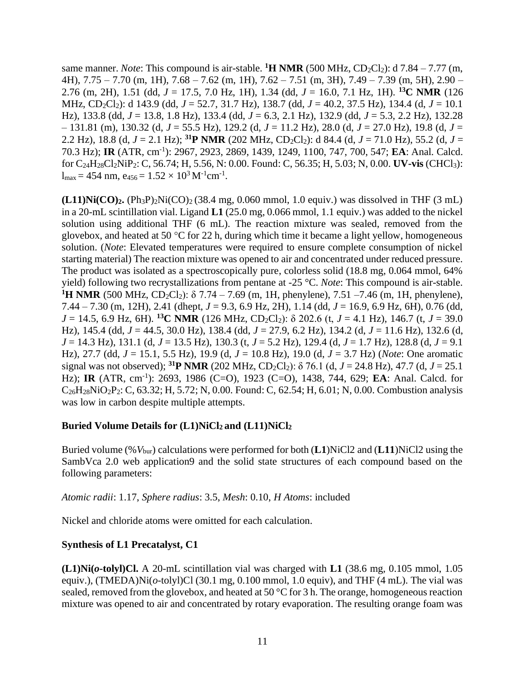same manner. *Note*: This compound is air-stable. **<sup>1</sup>H NMR** (500 MHz, CD<sub>2</sub>Cl<sub>2</sub>): d 7.84 – 7.77 (m, 4H), 7.75 – 7.70 (m, 1H), 7.68 – 7.62 (m, 1H), 7.62 – 7.51 (m, 3H), 7.49 – 7.39 (m, 5H), 2.90 – 2.76 (m, 2H), 1.51 (dd, *J* = 17.5, 7.0 Hz, 1H), 1.34 (dd, *J* = 16.0, 7.1 Hz, 1H). **<sup>13</sup>C NMR** (126 MHz, CD2Cl2): d 143.9 (dd, *J* = 52.7, 31.7 Hz), 138.7 (dd, *J* = 40.2, 37.5 Hz), 134.4 (d, *J* = 10.1 Hz), 133.8 (dd, *J* = 13.8, 1.8 Hz), 133.4 (dd, *J* = 6.3, 2.1 Hz), 132.9 (dd, *J* = 5.3, 2.2 Hz), 132.28 – 131.81 (m), 130.32 (d, *J* = 55.5 Hz), 129.2 (d, *J* = 11.2 Hz), 28.0 (d, *J* = 27.0 Hz), 19.8 (d, *J* = 2.2 Hz), 18.8 (d,  $J = 2.1$  Hz); <sup>31</sup>**P** NMR (202 MHz, CD<sub>2</sub>Cl<sub>2</sub>): d 84.4 (d,  $J = 71.0$  Hz), 55.2 (d,  $J =$ 70.3 Hz); **IR** (ATR, cm-1 ): 2967, 2923, 2869, 1439, 1249, 1100, 747, 700, 547; **EA**: Anal. Calcd. for C24H28Cl2NiP2: C, 56.74; H, 5.56, N: 0.00. Found: C, 56.35; H, 5.03; N, 0.00. **UV-vis** (CHCl3):  $l_{\text{max}} = 454 \text{ nm}, e_{456} = 1.52 \times 10^3 \text{ M}^{-1} \text{cm}^{-1}.$ 

 $(L11)$ Ni $(CO)$ <sub>2</sub>**.**  $(Ph_3P)$ <sub>2</sub>Ni $(CO)$ <sub>2</sub> (38.4 mg, 0.060 mmol, 1.0 equiv.) was dissolved in THF (3 mL) in a 20-mL scintillation vial. Ligand **L1** (25.0 mg, 0.066 mmol, 1.1 equiv.) was added to the nickel solution using additional THF (6 mL). The reaction mixture was sealed, removed from the glovebox, and heated at 50  $\degree$ C for 22 h, during which time it became a light yellow, homogeneous solution. (*Note*: Elevated temperatures were required to ensure complete consumption of nickel starting material) The reaction mixture was opened to air and concentrated under reduced pressure. The product was isolated as a spectroscopically pure, colorless solid (18.8 mg, 0.064 mmol, 64% yield) following two recrystallizations from pentane at -25 °C. *Note*: This compound is air-stable. <sup>1</sup>**H** NMR (500 MHz, CD<sub>2</sub>Cl<sub>2</sub>): δ 7.74 – 7.69 (m, 1H, phenylene), 7.51 –7.46 (m, 1H, phenylene), 7.44 – 7.30 (m, 12H), 2.41 (dhept, *J* = 9.3, 6.9 Hz, 2H), 1.14 (dd, *J* = 16.9, 6.9 Hz, 6H), 0.76 (dd,  $J = 14.5$ , 6.9 Hz, 6H). <sup>13</sup>**C NMR** (126 MHz, CD<sub>2</sub>Cl<sub>2</sub>):  $\delta$  202.6 (t,  $J = 4.1$  Hz), 146.7 (t,  $J = 39.0$ Hz), 145.4 (dd, *J* = 44.5, 30.0 Hz), 138.4 (dd, *J* = 27.9, 6.2 Hz), 134.2 (d, *J* = 11.6 Hz), 132.6 (d, *J* = 14.3 Hz), 131.1 (d, *J* = 13.5 Hz), 130.3 (t, *J* = 5.2 Hz), 129.4 (d, *J* = 1.7 Hz), 128.8 (d, *J* = 9.1 Hz), 27.7 (dd, *J* = 15.1, 5.5 Hz), 19.9 (d, *J* = 10.8 Hz), 19.0 (d, *J* = 3.7 Hz) (*Note*: One aromatic signal was not observed); <sup>31</sup>**P** NMR (202 MHz, CD<sub>2</sub>Cl<sub>2</sub>):  $\delta$  76.1 (d, *J* = 24.8 Hz), 47.7 (d, *J* = 25.1 Hz); **IR** (ATR, cm-1 ): 2693, 1986 (C=O), 1923 (C=O), 1438, 744, 629; **EA**: Anal. Calcd. for C26H28NiO2P2: C, 63.32; H, 5.72; N, 0.00. Found: C, 62.54; H, 6.01; N, 0.00. Combustion analysis was low in carbon despite multiple attempts.

## **Buried Volume Details for (L1)NiCl2 and (L11)NiCl<sup>2</sup>**

Buried volume (%*V*bur) calculations were performed for both (**L1**)NiCl2 and (**L11**)NiCl2 using the SambVca 2.0 web application9 and the solid state structures of each compound based on the following parameters:

*Atomic radii*: 1.17, *Sphere radius*: 3.5, *Mesh*: 0.10, *H Atoms*: included

Nickel and chloride atoms were omitted for each calculation.

## **Synthesis of L1 Precatalyst, C1**

**(L1)Ni(***o***-tolyl)Cl.** A 20-mL scintillation vial was charged with **L1** (38.6 mg, 0.105 mmol, 1.05 equiv.), (TMEDA)Ni(*o*-tolyl)Cl (30.1 mg, 0.100 mmol, 1.0 equiv), and THF (4 mL). The vial was sealed, removed from the glovebox, and heated at 50 °C for 3 h. The orange, homogeneous reaction mixture was opened to air and concentrated by rotary evaporation. The resulting orange foam was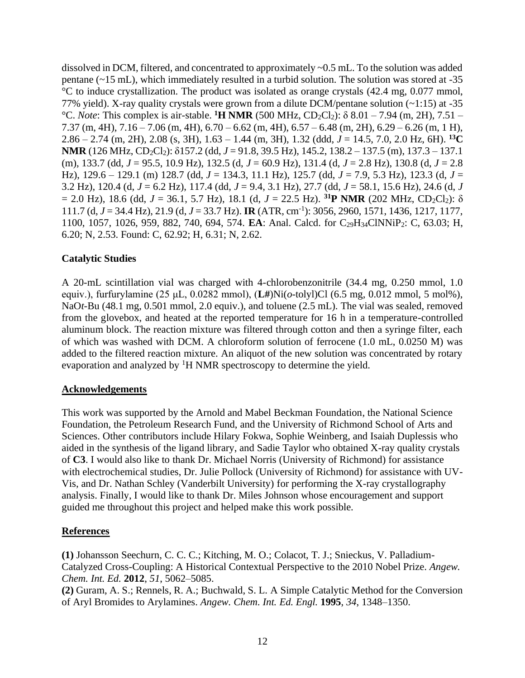dissolved in DCM, filtered, and concentrated to approximately ~0.5 mL. To the solution was added pentane (~15 mL), which immediately resulted in a turbid solution. The solution was stored at -35 °C to induce crystallization. The product was isolated as orange crystals (42.4 mg, 0.077 mmol, 77% yield). X-ray quality crystals were grown from a dilute DCM/pentane solution (~1:15) at -35 <sup>°</sup>C. *Note*: This complex is air-stable. **<sup>1</sup>H NMR** (500 MHz, CD<sub>2</sub>Cl<sub>2</sub>): δ 8.01 – 7.94 (m, 2H), 7.51 – 7.37 (m, 4H), 7.16 – 7.06 (m, 4H), 6.70 – 6.62 (m, 4H), 6.57 – 6.48 (m, 2H), 6.29 – 6.26 (m, 1 H), 2.86 – 2.74 (m, 2H), 2.08 (s, 3H), 1.63 – 1.44 (m, 3H), 1.32 (ddd, *J* = 14.5, 7.0, 2.0 Hz, 6H). **<sup>13</sup>C NMR** (126 MHz, CD2Cl2): δ157.2 (dd, *J* = 91.8, 39.5 Hz), 145.2, 138.2 – 137.5 (m), 137.3 – 137.1 (m), 133.7 (dd, *J* = 95.5, 10.9 Hz), 132.5 (d, *J* = 60.9 Hz), 131.4 (d, *J* = 2.8 Hz), 130.8 (d, *J* = 2.8 Hz), 129.6 – 129.1 (m) 128.7 (dd, *J* = 134.3, 11.1 Hz), 125.7 (dd, *J* = 7.9, 5.3 Hz), 123.3 (d, *J* = 3.2 Hz), 120.4 (d, *J* = 6.2 Hz), 117.4 (dd, *J* = 9.4, 3.1 Hz), 27.7 (dd, *J* = 58.1, 15.6 Hz), 24.6 (d, *J*   $= 2.0$  Hz), 18.6 (dd,  $J = 36.1$ , 5.7 Hz), 18.1 (d,  $J = 22.5$  Hz). <sup>31</sup>**P** NMR (202 MHz, CD<sub>2</sub>Cl<sub>2</sub>):  $\delta$ 111.7 (d, *J* = 34.4 Hz), 21.9 (d, *J* = 33.7 Hz). **IR** (ATR, cm-1 ): 3056, 2960, 1571, 1436, 1217, 1177, 1100, 1057, 1026, 959, 882, 740, 694, 574. **EA**: Anal. Calcd. for C29H34ClNNiP2: C, 63.03; H, 6.20; N, 2.53. Found: C, 62.92; H, 6.31; N, 2.62.

## **Catalytic Studies**

A 20-mL scintillation vial was charged with 4-chlorobenzonitrile (34.4 mg, 0.250 mmol, 1.0 equiv.), furfurylamine (25 μL, 0.0282 mmol), (**L#**)Ni(*o*-tolyl)Cl (6.5 mg, 0.012 mmol, 5 mol%), NaO*t*-Bu (48.1 mg, 0.501 mmol, 2.0 equiv.), and toluene (2.5 mL). The vial was sealed, removed from the glovebox, and heated at the reported temperature for 16 h in a temperature-controlled aluminum block. The reaction mixture was filtered through cotton and then a syringe filter, each of which was washed with DCM. A chloroform solution of ferrocene (1.0 mL, 0.0250 M) was added to the filtered reaction mixture. An aliquot of the new solution was concentrated by rotary evaporation and analyzed by <sup>1</sup>H NMR spectroscopy to determine the yield.

## **Acknowledgements**

This work was supported by the Arnold and Mabel Beckman Foundation, the National Science Foundation, the Petroleum Research Fund, and the University of Richmond School of Arts and Sciences. Other contributors include Hilary Fokwa, Sophie Weinberg, and Isaiah Duplessis who aided in the synthesis of the ligand library, and Sadie Taylor who obtained X-ray quality crystals of **C3**. I would also like to thank Dr. Michael Norris (University of Richmond) for assistance with electrochemical studies, Dr. Julie Pollock (University of Richmond) for assistance with UV-Vis, and Dr. Nathan Schley (Vanderbilt University) for performing the X-ray crystallography analysis. Finally, I would like to thank Dr. Miles Johnson whose encouragement and support guided me throughout this project and helped make this work possible.

## **References**

**(1)** Johansson Seechurn, C. C. C.; Kitching, M. O.; Colacot, T. J.; Snieckus, V. Palladium-Catalyzed Cross-Coupling: A Historical Contextual Perspective to the 2010 Nobel Prize. *Angew. Chem. Int. Ed.* **2012**, *51*, 5062–5085.

**(2)** Guram, A. S.; Rennels, R. A.; Buchwald, S. L. A Simple Catalytic Method for the Conversion of Aryl Bromides to Arylamines. *Angew. Chem. Int. Ed. Engl.* **1995**, *34*, 1348–1350.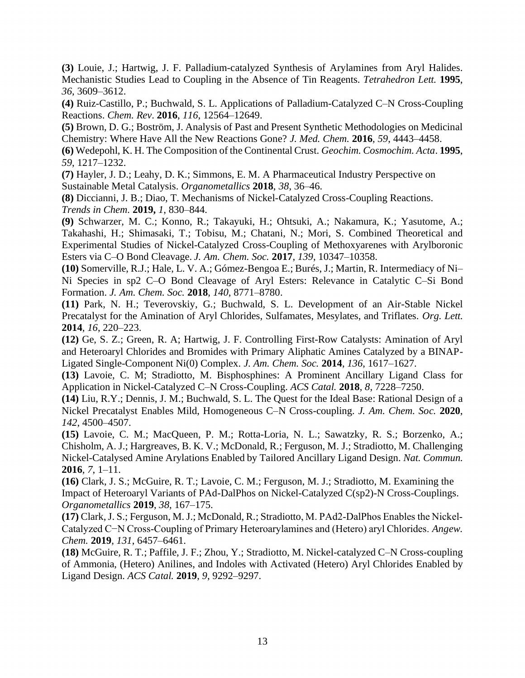**(3)** Louie, J.; Hartwig, J. F. Palladium-catalyzed Synthesis of Arylamines from Aryl Halides. Mechanistic Studies Lead to Coupling in the Absence of Tin Reagents. *Tetrahedron Lett.* **1995**, *36*, 3609–3612.

**(4)** Ruiz-Castillo, P.; Buchwald, S. L. Applications of Palladium-Catalyzed C–N Cross-Coupling Reactions. *Chem. Rev*. **2016**, *116*, 12564–12649.

**(5)** Brown, D. G.; Boström, J. Analysis of Past and Present Synthetic Methodologies on Medicinal Chemistry: Where Have All the New Reactions Gone? *J. Med. Chem.* **2016**, *59*, 4443–4458.

**(6)** Wedepohl, K. H. The Composition of the Continental Crust. *Geochim. Cosmochim. Acta*. **1995**, *59*, 1217–1232.

**(7)** Hayler, J. D.; Leahy, D. K.; Simmons, E. M. A Pharmaceutical Industry Perspective on Sustainable Metal Catalysis. *Organometallics* **2018**, *38*, 36–46.

**(8)** Diccianni, J. B.; Diao, T. Mechanisms of Nickel-Catalyzed Cross-Coupling Reactions. *Trends in Chem.* **2019,** *1*, 830–844.

**(9)** Schwarzer, M. C.; Konno, R.; Takayuki, H.; Ohtsuki, A.; Nakamura, K.; Yasutome, A.; Takahashi, H.; Shimasaki, T.; Tobisu, M.; Chatani, N.; Mori, S. Combined Theoretical and Experimental Studies of Nickel-Catalyzed Cross-Coupling of Methoxyarenes with Arylboronic Esters via C–O Bond Cleavage. *J. Am. Chem. Soc.* **2017**, *139*, 10347–10358.

**(10)** Somerville, R.J.; Hale, L. V. A.; Gómez-Bengoa E.; Burés, J.; Martin, R. Intermediacy of Ni– Ni Species in sp2 C–O Bond Cleavage of Aryl Esters: Relevance in Catalytic C–Si Bond Formation. *J. Am. Chem. Soc.* **2018**, *140*, 8771–8780.

**(11)** Park, N. H.; Teverovskiy, G.; Buchwald, S. L. Development of an Air-Stable Nickel Precatalyst for the Amination of Aryl Chlorides, Sulfamates, Mesylates, and Triflates. *Org. Lett.* **2014**, *16*, 220–223.

**(12)** Ge, S. Z.; Green, R. A; Hartwig, J. F. Controlling First-Row Catalysts: Amination of Aryl and Heteroaryl Chlorides and Bromides with Primary Aliphatic Amines Catalyzed by a BINAP-Ligated Single-Component Ni(0) Complex. *J. Am. Chem. Soc.* **2014**, *136*, 1617–1627.

**(13)** Lavoie, C. M; Stradiotto, M. Bisphosphines: A Prominent Ancillary Ligand Class for Application in Nickel-Catalyzed C–N Cross-Coupling. *ACS Catal.* **2018**, *8*, 7228–7250.

**(14)** Liu, R.Y.; Dennis, J. M.; Buchwald, S. L. The Quest for the Ideal Base: Rational Design of a Nickel Precatalyst Enables Mild, Homogeneous C–N Cross-coupling. *J. Am. Chem. Soc.* **2020**, *142*, 4500–4507.

**(15)** Lavoie, C. M.; MacQueen, P. M.; Rotta-Loria, N. L.; Sawatzky, R. S.; Borzenko, A.; Chisholm, A. J.; Hargreaves, B. K. V.; McDonald, R.; Ferguson, M. J.; Stradiotto, M. Challenging Nickel-Catalysed Amine Arylations Enabled by Tailored Ancillary Ligand Design. *Nat. Commun.*  **2016**, *7*, 1–11.

**(16)** Clark, J. S.; McGuire, R. T.; Lavoie, C. M.; Ferguson, M. J.; Stradiotto, M. Examining the Impact of Heteroaryl Variants of PAd-DalPhos on Nickel-Catalyzed C(sp2)-N Cross-Couplings. *Organometallics* **2019**, *38*, 167–175.

**(17)** Clark, J. S.; Ferguson, M. J.; McDonald, R.; Stradiotto, M. PAd2‐DalPhos Enables the Nickel‐ Catalyzed C−N Cross‐Coupling of Primary Heteroarylamines and (Hetero) aryl Chlorides. *Angew. Chem.* **2019**, *131*, 6457–6461.

**(18)** McGuire, R. T.; Paffile, J. F.; Zhou, Y.; Stradiotto, M. Nickel-catalyzed C–N Cross-coupling of Ammonia, (Hetero) Anilines, and Indoles with Activated (Hetero) Aryl Chlorides Enabled by Ligand Design. *ACS Catal.* **2019**, *9*, 9292–9297.